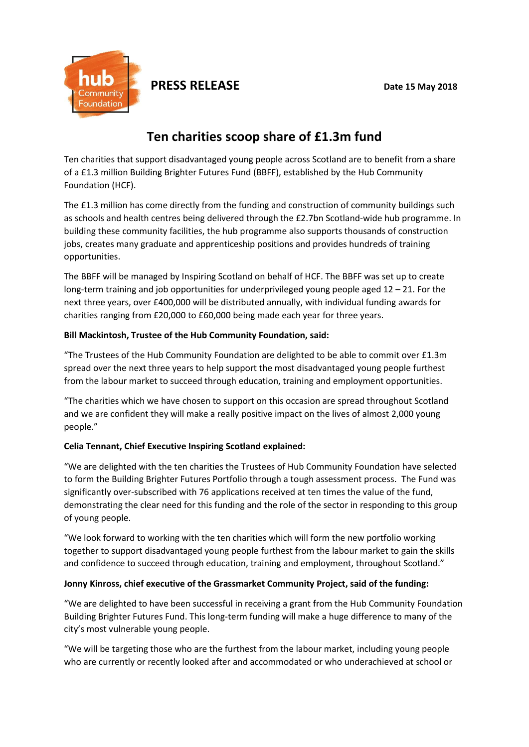

**PRESS RELEASE** Date 15 May 2018

# **Ten charities scoop share of £1.3m fund**

Ten charities that support disadvantaged young people across Scotland are to benefit from a share of a £1.3 million Building Brighter Futures Fund (BBFF), established by the Hub Community Foundation (HCF).

The £1.3 million has come directly from the funding and construction of community buildings such as schools and health centres being delivered through the £2.7bn Scotland-wide hub programme. In building these community facilities, the hub programme also supports thousands of construction jobs, creates many graduate and apprenticeship positions and provides hundreds of training opportunities.

The BBFF will be managed by Inspiring Scotland on behalf of HCF. The BBFF was set up to create long-term training and job opportunities for underprivileged young people aged 12 – 21. For the next three years, over £400,000 will be distributed annually, with individual funding awards for charities ranging from £20,000 to £60,000 being made each year for three years.

## **Bill Mackintosh, Trustee of the Hub Community Foundation, said:**

"The Trustees of the Hub Community Foundation are delighted to be able to commit over £1.3m spread over the next three years to help support the most disadvantaged young people furthest from the labour market to succeed through education, training and employment opportunities.

"The charities which we have chosen to support on this occasion are spread throughout Scotland and we are confident they will make a really positive impact on the lives of almost 2,000 young people."

# **Celia Tennant, Chief Executive Inspiring Scotland explained:**

"We are delighted with the ten charities the Trustees of Hub Community Foundation have selected to form the Building Brighter Futures Portfolio through a tough assessment process. The Fund was significantly over-subscribed with 76 applications received at ten times the value of the fund, demonstrating the clear need for this funding and the role of the sector in responding to this group of young people.

"We look forward to working with the ten charities which will form the new portfolio working together to support disadvantaged young people furthest from the labour market to gain the skills and confidence to succeed through education, training and employment, throughout Scotland."

# **Jonny Kinross, chief executive of the Grassmarket Community Project, said of the funding:**

"We are delighted to have been successful in receiving a grant from the Hub Community Foundation Building Brighter Futures Fund. This long-term funding will make a huge difference to many of the city's most vulnerable young people.

"We will be targeting those who are the furthest from the labour market, including young people who are currently or recently looked after and accommodated or who underachieved at school or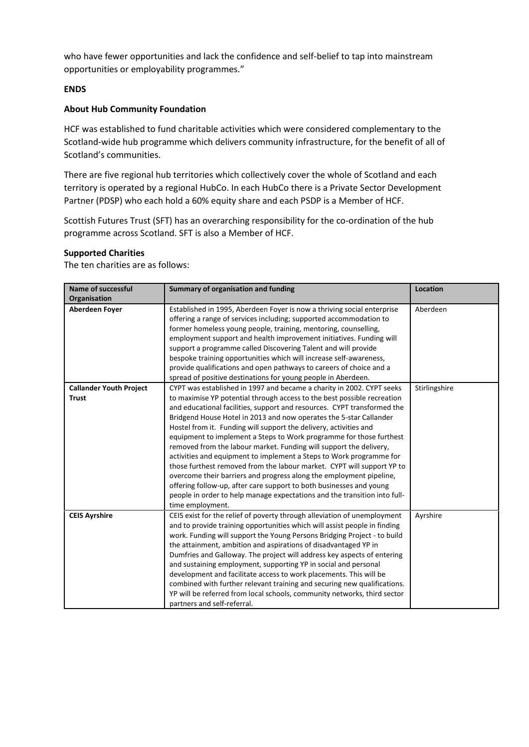who have fewer opportunities and lack the confidence and self-belief to tap into mainstream opportunities or employability programmes."

## **ENDS**

## **About Hub Community Foundation**

HCF was established to fund charitable activities which were considered complementary to the Scotland-wide hub programme which delivers community infrastructure, for the benefit of all of Scotland's communities.

There are five regional hub territories which collectively cover the whole of Scotland and each territory is operated by a regional HubCo. In each HubCo there is a Private Sector Development Partner (PDSP) who each hold a 60% equity share and each PSDP is a Member of HCF.

Scottish Futures Trust (SFT) has an overarching responsibility for the co-ordination of the hub programme across Scotland. SFT is also a Member of HCF.

#### **Supported Charities**

The ten charities are as follows:

| <b>Name of successful</b>      | Summary of organisation and funding                                                                                                                                                                                                                                                                                                                                                                                                                                                                                                                                                                                                                                                                                                                                                                                                        | <b>Location</b> |
|--------------------------------|--------------------------------------------------------------------------------------------------------------------------------------------------------------------------------------------------------------------------------------------------------------------------------------------------------------------------------------------------------------------------------------------------------------------------------------------------------------------------------------------------------------------------------------------------------------------------------------------------------------------------------------------------------------------------------------------------------------------------------------------------------------------------------------------------------------------------------------------|-----------------|
| Organisation                   |                                                                                                                                                                                                                                                                                                                                                                                                                                                                                                                                                                                                                                                                                                                                                                                                                                            |                 |
| Aberdeen Foyer                 | Established in 1995, Aberdeen Foyer is now a thriving social enterprise<br>offering a range of services including; supported accommodation to<br>former homeless young people, training, mentoring, counselling,<br>employment support and health improvement initiatives. Funding will<br>support a programme called Discovering Talent and will provide<br>bespoke training opportunities which will increase self-awareness,<br>provide qualifications and open pathways to careers of choice and a<br>spread of positive destinations for young people in Aberdeen.                                                                                                                                                                                                                                                                    | Aberdeen        |
| <b>Callander Youth Project</b> | CYPT was established in 1997 and became a charity in 2002. CYPT seeks                                                                                                                                                                                                                                                                                                                                                                                                                                                                                                                                                                                                                                                                                                                                                                      | Stirlingshire   |
| <b>Trust</b>                   | to maximise YP potential through access to the best possible recreation<br>and educational facilities, support and resources. CYPT transformed the<br>Bridgend House Hotel in 2013 and now operates the 5-star Callander<br>Hostel from it. Funding will support the delivery, activities and<br>equipment to implement a Steps to Work programme for those furthest<br>removed from the labour market. Funding will support the delivery,<br>activities and equipment to implement a Steps to Work programme for<br>those furthest removed from the labour market. CYPT will support YP to<br>overcome their barriers and progress along the employment pipeline,<br>offering follow-up, after care support to both businesses and young<br>people in order to help manage expectations and the transition into full-<br>time employment. |                 |
| <b>CEIS Ayrshire</b>           | CEIS exist for the relief of poverty through alleviation of unemployment<br>and to provide training opportunities which will assist people in finding<br>work. Funding will support the Young Persons Bridging Project - to build<br>the attainment, ambition and aspirations of disadvantaged YP in<br>Dumfries and Galloway. The project will address key aspects of entering<br>and sustaining employment, supporting YP in social and personal<br>development and facilitate access to work placements. This will be<br>combined with further relevant training and securing new qualifications.<br>YP will be referred from local schools, community networks, third sector<br>partners and self-referral.                                                                                                                            | Ayrshire        |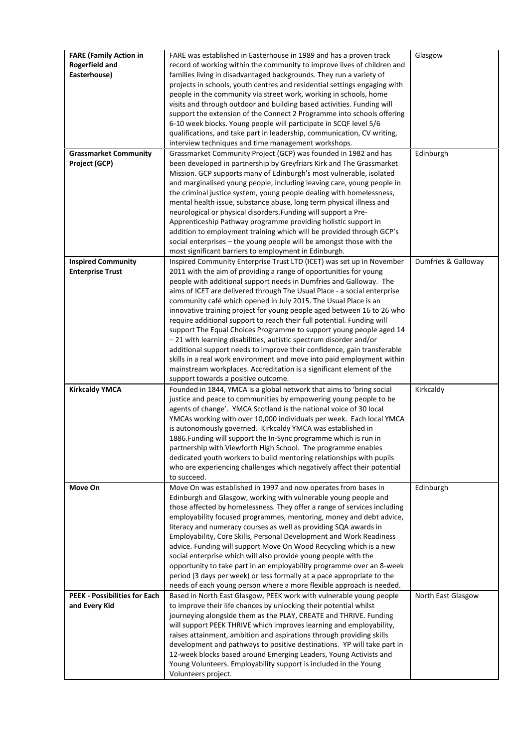| <b>FARE (Family Action in</b><br><b>Rogerfield and</b><br>Easterhouse) | FARE was established in Easterhouse in 1989 and has a proven track<br>record of working within the community to improve lives of children and<br>families living in disadvantaged backgrounds. They run a variety of<br>projects in schools, youth centres and residential settings engaging with<br>people in the community via street work, working in schools, home<br>visits and through outdoor and building based activities. Funding will<br>support the extension of the Connect 2 Programme into schools offering<br>6-10 week blocks. Young people will participate in SCQF level 5/6<br>qualifications, and take part in leadership, communication, CV writing,<br>interview techniques and time management workshops.                                                                                                                           | Glasgow             |
|------------------------------------------------------------------------|-------------------------------------------------------------------------------------------------------------------------------------------------------------------------------------------------------------------------------------------------------------------------------------------------------------------------------------------------------------------------------------------------------------------------------------------------------------------------------------------------------------------------------------------------------------------------------------------------------------------------------------------------------------------------------------------------------------------------------------------------------------------------------------------------------------------------------------------------------------|---------------------|
| <b>Grassmarket Community</b><br>Project (GCP)                          | Grassmarket Community Project (GCP) was founded in 1982 and has<br>been developed in partnership by Greyfriars Kirk and The Grassmarket                                                                                                                                                                                                                                                                                                                                                                                                                                                                                                                                                                                                                                                                                                                     | Edinburgh           |
|                                                                        | Mission. GCP supports many of Edinburgh's most vulnerable, isolated<br>and marginalised young people, including leaving care, young people in<br>the criminal justice system, young people dealing with homelessness,<br>mental health issue, substance abuse, long term physical illness and<br>neurological or physical disorders. Funding will support a Pre-<br>Apprenticeship Pathway programme providing holistic support in<br>addition to employment training which will be provided through GCP's<br>social enterprises - the young people will be amongst those with the                                                                                                                                                                                                                                                                          |                     |
| <b>Inspired Community</b>                                              | most significant barriers to employment in Edinburgh.<br>Inspired Community Enterprise Trust LTD (ICET) was set up in November                                                                                                                                                                                                                                                                                                                                                                                                                                                                                                                                                                                                                                                                                                                              | Dumfries & Galloway |
| <b>Enterprise Trust</b>                                                | 2011 with the aim of providing a range of opportunities for young<br>people with additional support needs in Dumfries and Galloway. The<br>aims of ICET are delivered through The Usual Place - a social enterprise<br>community café which opened in July 2015. The Usual Place is an<br>innovative training project for young people aged between 16 to 26 who<br>require additional support to reach their full potential. Funding will<br>support The Equal Choices Programme to support young people aged 14<br>- 21 with learning disabilities, autistic spectrum disorder and/or<br>additional support needs to improve their confidence, gain transferable<br>skills in a real work environment and move into paid employment within<br>mainstream workplaces. Accreditation is a significant element of the<br>support towards a positive outcome. |                     |
| <b>Kirkcaldy YMCA</b>                                                  | Founded in 1844, YMCA is a global network that aims to 'bring social                                                                                                                                                                                                                                                                                                                                                                                                                                                                                                                                                                                                                                                                                                                                                                                        | Kirkcaldy           |
|                                                                        | justice and peace to communities by empowering young people to be<br>agents of change'. YMCA Scotland is the national voice of 30 local<br>YMCAs working with over 10,000 individuals per week. Each local YMCA<br>is autonomously governed. Kirkcaldy YMCA was established in<br>1886. Funding will support the In-Sync programme which is run in<br>partnership with Viewforth High School. The programme enables<br>dedicated youth workers to build mentoring relationships with pupils<br>who are experiencing challenges which negatively affect their potential<br>to succeed.                                                                                                                                                                                                                                                                       |                     |
| Move On                                                                | Move On was established in 1997 and now operates from bases in<br>Edinburgh and Glasgow, working with vulnerable young people and<br>those affected by homelessness. They offer a range of services including<br>employability focused programmes, mentoring, money and debt advice,<br>literacy and numeracy courses as well as providing SQA awards in<br>Employability, Core Skills, Personal Development and Work Readiness<br>advice. Funding will support Move On Wood Recycling which is a new<br>social enterprise which will also provide young people with the<br>opportunity to take part in an employability programme over an 8-week<br>period (3 days per week) or less formally at a pace appropriate to the<br>needs of each young person where a more flexible approach is needed.                                                         | Edinburgh           |
| <b>PEEK - Possibilities for Each</b>                                   | Based in North East Glasgow, PEEK work with vulnerable young people                                                                                                                                                                                                                                                                                                                                                                                                                                                                                                                                                                                                                                                                                                                                                                                         | North East Glasgow  |
| and Every Kid                                                          | to improve their life chances by unlocking their potential whilst<br>journeying alongside them as the PLAY, CREATE and THRIVE. Funding<br>will support PEEK THRIVE which improves learning and employability,<br>raises attainment, ambition and aspirations through providing skills<br>development and pathways to positive destinations. YP will take part in<br>12-week blocks based around Emerging Leaders, Young Activists and<br>Young Volunteers. Employability support is included in the Young<br>Volunteers project.                                                                                                                                                                                                                                                                                                                            |                     |